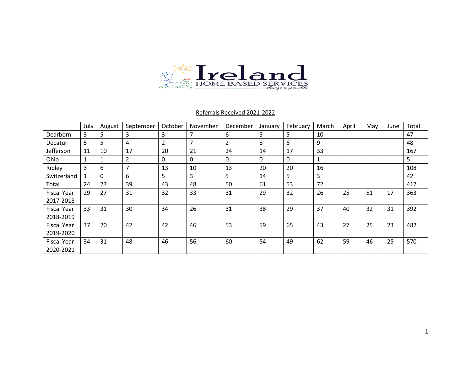

# Referrals Received 2021-2022

|                    | July | August       | September      | October  | November       | December       | January  | February     | March | April | May | June | Total |
|--------------------|------|--------------|----------------|----------|----------------|----------------|----------|--------------|-------|-------|-----|------|-------|
| Dearborn           | 3    | 5            | 3              | 3        | 7              | 6              | 5        | 5            | 10    |       |     |      | 47    |
| Decatur            | 5    | 5            | 4              | 2        | $\overline{7}$ | $\overline{2}$ | 8        | 6            | 9     |       |     |      | 48    |
| Jefferson          | 11   | 10           | 17             | 20       | 21             | 24             | 14       | 17           | 33    |       |     |      | 167   |
| Ohio               | T    | 1            | $\overline{2}$ | $\Omega$ | $\mathbf 0$    | $\mathbf{0}$   | $\Omega$ | $\mathbf{0}$ | 1     |       |     |      | 5.    |
| Ripley             | 3    | 6            | 7              | 13       | 10             | 13             | 20       | 20           | 16    |       |     |      | 108   |
| Switzerland        | 1    | $\mathbf{0}$ | 6              | 5        | 3              | 5              | 14       | 5            | 3     |       |     |      | 42    |
| Total              | 24   | 27           | 39             | 43       | 48             | 50             | 61       | 53           | 72    |       |     |      | 417   |
| <b>Fiscal Year</b> | 29   | 27           | 31             | 32       | 33             | 31             | 29       | 32           | 26    | 25    | 51  | 17   | 363   |
| 2017-2018          |      |              |                |          |                |                |          |              |       |       |     |      |       |
| <b>Fiscal Year</b> | 33   | 31           | 30             | 34       | 26             | 31             | 38       | 29           | 37    | 40    | 32  | 31   | 392   |
| 2018-2019          |      |              |                |          |                |                |          |              |       |       |     |      |       |
| <b>Fiscal Year</b> | 37   | 20           | 42             | 42       | 46             | 53             | 59       | 65           | 43    | 27    | 25  | 23   | 482   |
| 2019-2020          |      |              |                |          |                |                |          |              |       |       |     |      |       |
| <b>Fiscal Year</b> | 34   | 31           | 48             | 46       | 56             | 60             | 54       | 49           | 62    | 59    | 46  | 25   | 570   |
| 2020-2021          |      |              |                |          |                |                |          |              |       |       |     |      |       |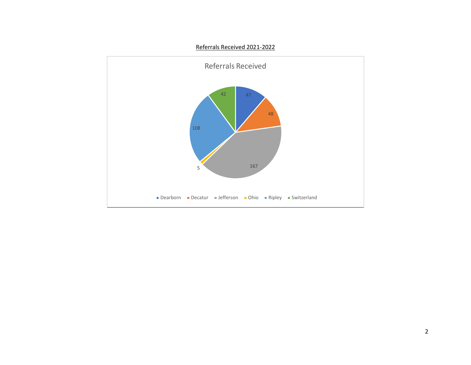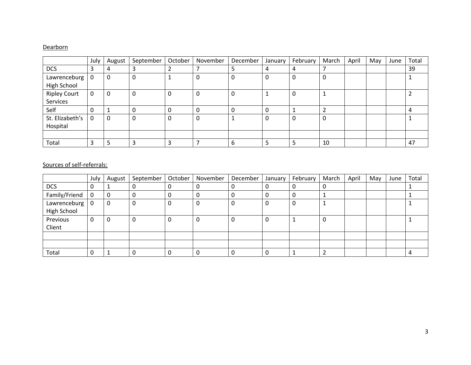# **Dearborn**

|                                    | July | August | September | October | November | December | January | February | March | April | May | June | Total |
|------------------------------------|------|--------|-----------|---------|----------|----------|---------|----------|-------|-------|-----|------|-------|
| <b>DCS</b>                         | 3    | 4      |           |         |          |          | 4       | 4        |       |       |     |      | 39    |
| Lawrenceburg<br><b>High School</b> | 0    | 0      | 0         |         | 0        |          | 0       | 0        | 0     |       |     |      |       |
| <b>Ripley Court</b><br>Services    | 0    | 0      | 0         | 0       | $\Omega$ |          |         | 0        |       |       |     |      |       |
| Self                               | 0    |        | ი         | 0       | $\Omega$ |          | 0       |          | ົາ    |       |     |      |       |
| St. Elizabeth's<br>Hospital        | 0    | 0      | 0         | 0       | 0        |          | 0       | 0        | 0     |       |     |      |       |
|                                    |      |        |           |         |          |          |         |          |       |       |     |      |       |
| Total                              | 3    |        |           | 3       |          | 6        |         | 5        | 10    |       |     |      | 47    |

|                             | July           | August | September | October | November | December | January | February | March | April | May | June | Total |
|-----------------------------|----------------|--------|-----------|---------|----------|----------|---------|----------|-------|-------|-----|------|-------|
| <b>DCS</b>                  | 0              |        | 0         | 0       | 0        |          |         |          | 0     |       |     |      |       |
| Family/Friend               | $\overline{0}$ | 0      | 0         | U       | U        |          | υ       |          |       |       |     |      |       |
| Lawrenceburg<br>High School | l 0            | 0      | 0         | O       | 0        |          |         |          |       |       |     |      |       |
| Previous<br>Client          | 0              | 0      | 0         | U       | 0        |          | υ       |          | 0     |       |     |      |       |
|                             |                |        |           |         |          |          |         |          |       |       |     |      |       |
|                             |                |        |           |         |          |          |         |          |       |       |     |      |       |
| Total                       | 0              |        | 0         |         |          |          |         |          |       |       |     |      |       |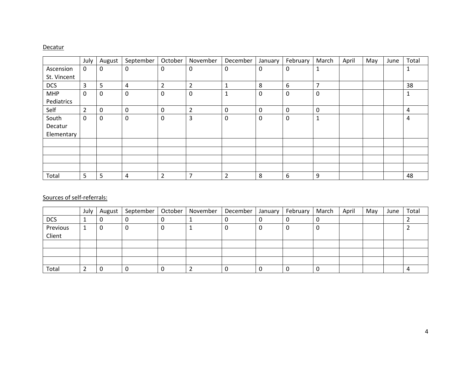#### **Decatur**

|             | July           | August   | September   | October        | November                 | December    | January | February | March          | April | May | June | Total |
|-------------|----------------|----------|-------------|----------------|--------------------------|-------------|---------|----------|----------------|-------|-----|------|-------|
| Ascension   | 0              | 0        | 0           | 0              | 0                        | $\mathbf 0$ | 0       | 0        | 1              |       |     |      | 1     |
| St. Vincent |                |          |             |                |                          |             |         |          |                |       |     |      |       |
| <b>DCS</b>  | 3              | 5        | 4           | $\overline{2}$ | $\overline{2}$           | 1           | 8       | 6        | $\overline{7}$ |       |     |      | 38    |
| <b>MHP</b>  | 0              | 0        | $\mathbf 0$ | 0              | 0                        | 1           | 0       | 0        | 0              |       |     |      | 1     |
| Pediatrics  |                |          |             |                |                          |             |         |          |                |       |     |      |       |
| Self        | $\overline{2}$ | $\Omega$ | 0           | 0              | $\overline{2}$           | 0           | 0       | 0        | 0              |       |     |      | 4     |
| South       | 0              | 0        | 0           | 0              | 3                        | 0           | 0       | 0        | 1              |       |     |      | 4     |
| Decatur     |                |          |             |                |                          |             |         |          |                |       |     |      |       |
| Elementary  |                |          |             |                |                          |             |         |          |                |       |     |      |       |
|             |                |          |             |                |                          |             |         |          |                |       |     |      |       |
|             |                |          |             |                |                          |             |         |          |                |       |     |      |       |
|             |                |          |             |                |                          |             |         |          |                |       |     |      |       |
|             |                |          |             |                |                          |             |         |          |                |       |     |      |       |
| Total       | 5              | 5        | 4           | $\overline{2}$ | $\overline{\phantom{a}}$ | 2           | 8       | 6        | 9              |       |     |      | 48    |

|                    | July | August | September | October | November | December | January | February | March | April | May | June | Total |
|--------------------|------|--------|-----------|---------|----------|----------|---------|----------|-------|-------|-----|------|-------|
| <b>DCS</b>         |      | υ      | υ         |         |          |          |         |          | U     |       |     |      |       |
| Previous<br>Client |      | U      | 0         |         |          |          |         |          |       |       |     |      |       |
|                    |      |        |           |         |          |          |         |          |       |       |     |      |       |
|                    |      |        |           |         |          |          |         |          |       |       |     |      |       |
|                    |      |        |           |         |          |          |         |          |       |       |     |      |       |
| Total              |      |        | 0         |         |          |          |         |          |       |       |     |      |       |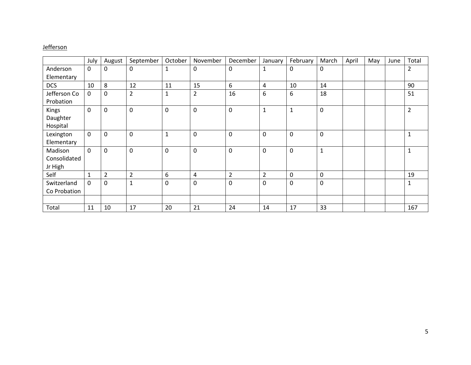# **Jefferson**

|                                    | July        | August         | September      | October   | November       | December       | January        | February     | March        | April | May | June | Total          |
|------------------------------------|-------------|----------------|----------------|-----------|----------------|----------------|----------------|--------------|--------------|-------|-----|------|----------------|
| Anderson                           | $\mathbf 0$ | 0              | 0              | 1         | $\mathbf 0$    | 0              | 1              | $\mathbf 0$  | 0            |       |     |      | 2              |
| Elementary                         |             |                |                |           |                |                |                |              |              |       |     |      |                |
| <b>DCS</b>                         | 10          | 8              | 12             | 11        | 15             | 6              | 4              | 10           | 14           |       |     |      | 90             |
| Jefferson Co<br>Probation          | 0           | $\mathbf 0$    | $\overline{2}$ | 1         | $\overline{2}$ | 16             | 6              | 6            | 18           |       |     |      | 51             |
| Kings<br>Daughter<br>Hospital      | $\mathbf 0$ | $\pmb{0}$      | 0              | $\pmb{0}$ | $\mathbf 0$    | $\mathbf 0$    | $\mathbf{1}$   | $\mathbf{1}$ | $\pmb{0}$    |       |     |      | $\overline{2}$ |
| Lexington<br>Elementary            | $\mathbf 0$ | 0              | 0              | 1         | $\mathbf 0$    | $\mathbf 0$    | $\mathbf 0$    | $\mathbf 0$  | 0            |       |     |      | $\mathbf{1}$   |
| Madison<br>Consolidated<br>Jr High | $\mathbf 0$ | 0              | 0              | 0         | $\mathbf 0$    | $\mathbf 0$    | $\mathbf 0$    | $\mathbf 0$  | $\mathbf{1}$ |       |     |      | $\mathbf{1}$   |
| Self                               |             | $\overline{2}$ | $\overline{2}$ | 6         | $\overline{4}$ | $\overline{2}$ | $\overline{2}$ | $\mathbf 0$  | 0            |       |     |      | 19             |
| Switzerland<br>Co Probation        | 0           | 0              | $\mathbf{1}$   | 0         | $\mathbf 0$    | $\mathbf 0$    | 0              | $\mathbf 0$  | 0            |       |     |      | 1              |
| Total                              | 11          | 10             | 17             | 20        | 21             | 24             | 14             | 17           | 33           |       |     |      | 167            |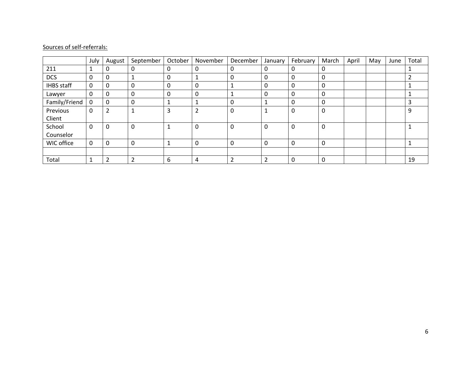|                   | July        | August         | September      | October | November       | December       | January        | February     | March | April | May | June | Total |
|-------------------|-------------|----------------|----------------|---------|----------------|----------------|----------------|--------------|-------|-------|-----|------|-------|
| 211               | 1           | 0              | 0              | 0       | 0              | 0              | 0              | 0            | 0     |       |     |      |       |
| <b>DCS</b>        | $\mathbf 0$ | 0              |                | 0       |                | $\Omega$       | $\Omega$       | 0            | 0     |       |     |      |       |
| <b>IHBS</b> staff | 0           | 0              | 0              | 0       | 0              |                | 0              | 0            | 0     |       |     |      |       |
| Lawyer            | 0           | 0              | 0              | 0       | $\mathbf{0}$   |                | 0              | 0            | 0     |       |     |      |       |
| Family/Friend     | 0           | 0              | 0              | Ŧ.      |                | 0              |                | 0            | 0     |       |     |      |       |
| Previous          | 0           | $\overline{2}$ |                | 3       | $\overline{2}$ | 0              | 1              | 0            | 0     |       |     |      | 9     |
| Client            |             |                |                |         |                |                |                |              |       |       |     |      |       |
| School            | 0           | 0              | 0              |         | 0              | $\Omega$       | $\mathbf 0$    | 0            | 0     |       |     |      |       |
| Counselor         |             |                |                |         |                |                |                |              |       |       |     |      |       |
| WIC office        | 0           | 0              | $\Omega$       | Ŧ.      | $\mathbf 0$    | 0              | 0              | 0            | 0     |       |     |      |       |
|                   |             |                |                |         |                |                |                |              |       |       |     |      |       |
| Total             | T           | ำ<br>∠         | $\overline{2}$ | 6       | 4              | $\overline{2}$ | $\overline{2}$ | $\mathbf{0}$ | 0     |       |     |      | 19    |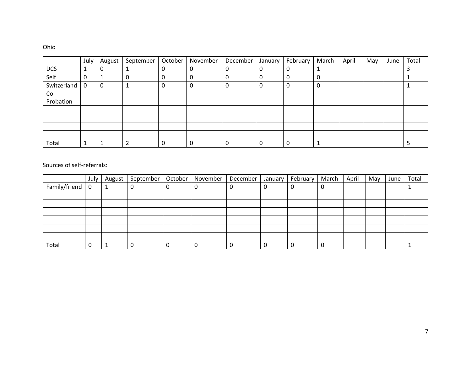# Ohio

|             | July | August | September | October | November | December | January | February | March | April | May | June | Total |
|-------------|------|--------|-----------|---------|----------|----------|---------|----------|-------|-------|-----|------|-------|
| <b>DCS</b>  | J.   | 0      |           |         |          |          | υ       | 0        |       |       |     |      |       |
| Self        | 0    |        | 0         |         |          |          | U       | 0        | 0     |       |     |      |       |
| Switzerland | 0    | 0      |           | 0       | U        | 0        | 0       | 0        | 0     |       |     |      |       |
| Co          |      |        |           |         |          |          |         |          |       |       |     |      |       |
| Probation   |      |        |           |         |          |          |         |          |       |       |     |      |       |
|             |      |        |           |         |          |          |         |          |       |       |     |      |       |
|             |      |        |           |         |          |          |         |          |       |       |     |      |       |
|             |      |        |           |         |          |          |         |          |       |       |     |      |       |
|             |      |        |           |         |          |          |         |          |       |       |     |      |       |
| Total       | 1    |        | C.        |         |          |          | 0       | $\Omega$ |       |       |     |      |       |

|               | July        | August | September   October   November |   |   | December | January | February | March | April | May | June | Total |
|---------------|-------------|--------|--------------------------------|---|---|----------|---------|----------|-------|-------|-----|------|-------|
| Family/friend | $\mathbf 0$ | л.     |                                | 0 | 0 | 0        |         | U        | 0     |       |     |      |       |
|               |             |        |                                |   |   |          |         |          |       |       |     |      |       |
|               |             |        |                                |   |   |          |         |          |       |       |     |      |       |
|               |             |        |                                |   |   |          |         |          |       |       |     |      |       |
|               |             |        |                                |   |   |          |         |          |       |       |     |      |       |
|               |             |        |                                |   |   |          |         |          |       |       |     |      |       |
|               |             |        |                                |   |   |          |         |          |       |       |     |      |       |
| Total         |             |        |                                |   | 0 | 0        |         | 0        | 0     |       |     |      |       |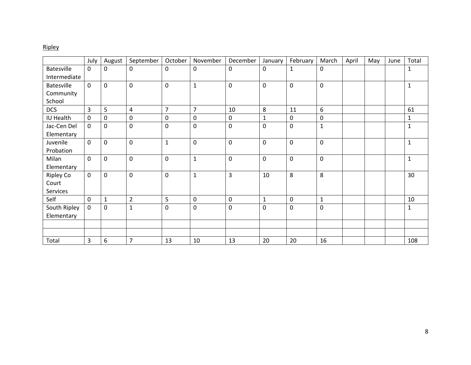# Ripley

|                   | July         | August       | September      | October        | November       | December    | January      | February     | March        | April | May | June | Total        |
|-------------------|--------------|--------------|----------------|----------------|----------------|-------------|--------------|--------------|--------------|-------|-----|------|--------------|
| <b>Batesville</b> | $\mathbf{0}$ | 0            | $\mathbf{0}$   | $\mathbf 0$    | 0              | $\mathbf 0$ | $\mathbf 0$  | $\mathbf{1}$ | 0            |       |     |      | 1            |
| Intermediate      |              |              |                |                |                |             |              |              |              |       |     |      |              |
| <b>Batesville</b> | $\mathbf 0$  | 0            | $\mathbf 0$    | $\mathbf 0$    | $\mathbf 1$    | $\pmb{0}$   | $\mathbf 0$  | $\pmb{0}$    | $\pmb{0}$    |       |     |      | 1            |
| Community         |              |              |                |                |                |             |              |              |              |       |     |      |              |
| School            |              |              |                |                |                |             |              |              |              |       |     |      |              |
| <b>DCS</b>        | 3            | 5            | $\overline{4}$ | $\overline{7}$ | $\overline{7}$ | 10          | 8            | 11           | 6            |       |     |      | 61           |
| IU Health         | 0            | 0            | $\pmb{0}$      | 0              | 0              | $\pmb{0}$   | 1            | 0            | 0            |       |     |      | 1            |
| Jac-Cen Del       | $\mathbf 0$  | 0            | $\mathbf 0$    | $\mathbf 0$    | 0              | $\mathbf 0$ | $\mathbf 0$  | $\mathbf 0$  | $\mathbf{1}$ |       |     |      | $\mathbf{1}$ |
| Elementary        |              |              |                |                |                |             |              |              |              |       |     |      |              |
| Juvenile          | $\mathbf 0$  | 0            | $\mathbf 0$    | $\mathbf{1}$   | 0              | 0           | $\mathbf 0$  | $\mathbf 0$  | $\mathbf 0$  |       |     |      | $\mathbf{1}$ |
| Probation         |              |              |                |                |                |             |              |              |              |       |     |      |              |
| Milan             | 0            | 0            | 0              | $\mathbf 0$    | $\mathbf 1$    | $\mathbf 0$ | $\mathbf 0$  | 0            | $\pmb{0}$    |       |     |      | $\mathbf{1}$ |
| Elementary        |              |              |                |                |                |             |              |              |              |       |     |      |              |
| <b>Ripley Co</b>  | 0            | 0            | $\mathbf 0$    | $\pmb{0}$      | $\mathbf{1}$   | 3           | 10           | 8            | 8            |       |     |      | 30           |
| Court             |              |              |                |                |                |             |              |              |              |       |     |      |              |
| Services          |              |              |                |                |                |             |              |              |              |       |     |      |              |
| Self              | 0            | $\mathbf{1}$ | $\overline{2}$ | 5              | 0              | $\pmb{0}$   | $\mathbf{1}$ | 0            | $\mathbf{1}$ |       |     |      | 10           |
| South Ripley      | 0            | 0            | 1              | 0              | 0              | 0           | $\mathbf 0$  | 0            | $\mathbf 0$  |       |     |      | 1            |
| Elementary        |              |              |                |                |                |             |              |              |              |       |     |      |              |
|                   |              |              |                |                |                |             |              |              |              |       |     |      |              |
|                   |              |              |                |                |                |             |              |              |              |       |     |      |              |
| Total             | 3            | 6            | $\overline{7}$ | 13             | 10             | 13          | 20           | 20           | 16           |       |     |      | 108          |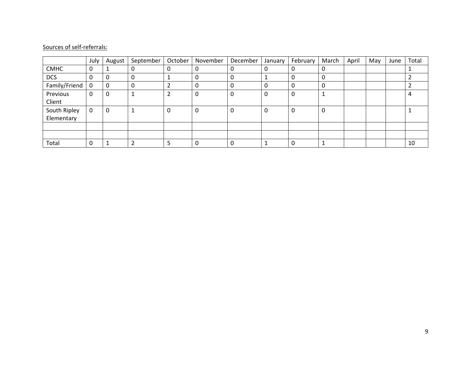|               | July | August | September | October | November | December | January | February | March | April | May | June | Total |
|---------------|------|--------|-----------|---------|----------|----------|---------|----------|-------|-------|-----|------|-------|
| <b>CMHC</b>   | 0    |        |           | 0       |          | 0        |         | 0        | 0     |       |     |      |       |
| <b>DCS</b>    | 0    | 0      | 0         | ᆠ       |          | 0        |         | 0        | 0     |       |     |      |       |
| Family/Friend | 0    | 0      | 0         |         |          | 0        |         | 0        | 0     |       |     |      |       |
| Previous      | 0    | 0      |           | 2       |          | 0        |         | 0        |       |       |     |      | 4     |
| Client        |      |        |           |         |          |          |         |          |       |       |     |      |       |
| South Ripley  | 0    | 0      |           | 0       |          | 0        |         | 0        | 0     |       |     |      |       |
| Elementary    |      |        |           |         |          |          |         |          |       |       |     |      |       |
|               |      |        |           |         |          |          |         |          |       |       |     |      |       |
|               |      |        |           |         |          |          |         |          |       |       |     |      |       |
| Total         |      |        |           |         |          | 0        |         | 0        |       |       |     |      | 10    |